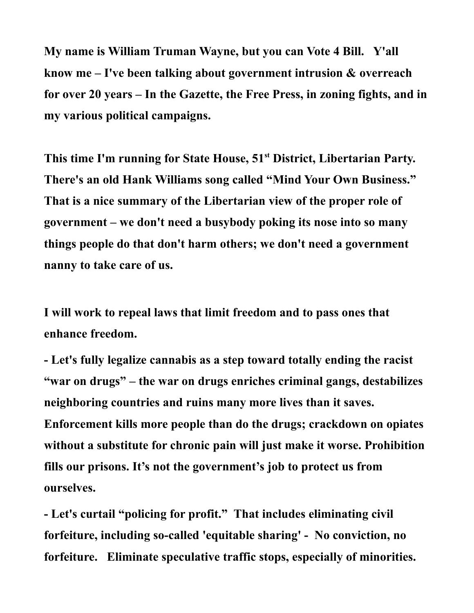**My name is William Truman Wayne, but you can Vote 4 Bill. Y'all know me – I've been talking about government intrusion & overreach for over 20 years – In the Gazette, the Free Press, in zoning fights, and in my various political campaigns.** 

**This time I'm running for State House, 51st District, Libertarian Party. There's an old Hank Williams song called "Mind Your Own Business." That is a nice summary of the Libertarian view of the proper role of government – we don't need a busybody poking its nose into so many things people do that don't harm others; we don't need a government nanny to take care of us.** 

**I will work to repeal laws that limit freedom and to pass ones that enhance freedom.** 

**- Let's fully legalize cannabis as a step toward totally ending the racist "war on drugs" – the war on drugs enriches criminal gangs, destabilizes neighboring countries and ruins many more lives than it saves. Enforcement kills more people than do the drugs; crackdown on opiates without a substitute for chronic pain will just make it worse. Prohibition fills our prisons. It's not the government's job to protect us from ourselves.**

**- Let's curtail "policing for profit." That includes eliminating civil forfeiture, including so-called 'equitable sharing' - No conviction, no forfeiture. Eliminate speculative traffic stops, especially of minorities.**